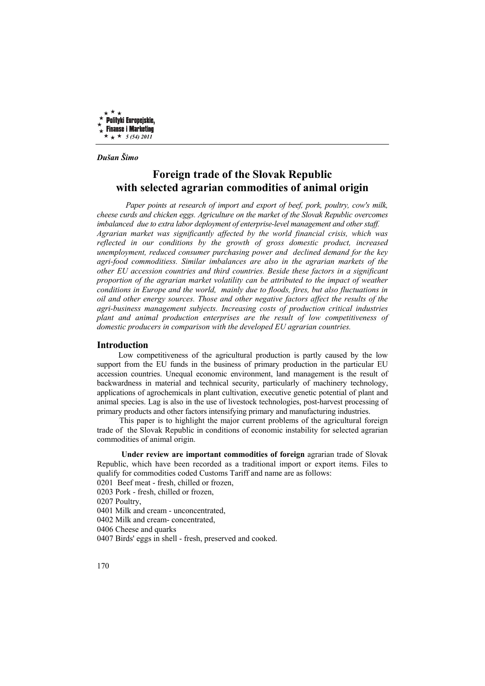

*Dušan Šimo* 

# **Foreign trade of the Slovak Republic with selected agrarian commodities of animal origin**

 *Paper points at research of import and export of beef, pork, poultry, cow's milk, cheese curds and chicken eggs. Agriculture on the market of the Slovak Republic overcomes imbalanced due to extra labor deployment of enterprise-level management and other staff. Agrarian market was significantly affected by the world financial crisis, which was reflected in our conditions by the growth of gross domestic product, increased unemployment, reduced consumer purchasing power and declined demand for the key agri-food commoditiess. Similar imbalances are also in the agrarian markets of the other EU accession countries and third countries. Beside these factors in a significant proportion of the agrarian market volatility can be attributed to the impact of weather conditions in Europe and the world, mainly due to floods, fires, but also fluctuations in oil and other energy sources. Those and other negative factors affect the results of the agri-business management subjects. Increasing costs of production critical industries plant and animal production enterprises are the result of low competitiveness of domestic producers in comparison with the developed EU agrarian countries.* 

### **Introduction**

 Low competitiveness of the agricultural production is partly caused by the low support from the EU funds in the business of primary production in the particular EU accession countries. Unequal economic environment, land management is the result of backwardness in material and technical security, particularly of machinery technology, applications of agrochemicals in plant cultivation, executive genetic potential of plant and animal species. Lag is also in the use of livestock technologies, post-harvest processing of primary products and other factors intensifying primary and manufacturing industries.

 This paper is to highlight the major current problems of the agricultural foreign trade of the Slovak Republic in conditions of economic instability for selected agrarian commodities of animal origin.

 **Under review are important commodities of foreign** agrarian trade of Slovak Republic, which have been recorded as a traditional import or export items. Files to qualify for commodities coded Customs Tariff and name are as follows:

0201 Beef meat - fresh, chilled or frozen,

0203 Pork - fresh, chilled or frozen,

0207 Poultry,

0401 Milk and cream - unconcentrated,

0402 Milk and cream- concentrated,

0406 Cheese and quarks

0407 Birds' eggs in shell - fresh, preserved and cooked.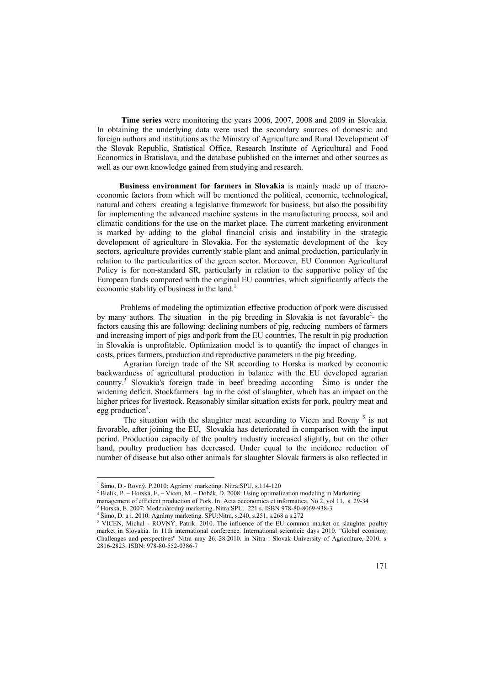**Time series** were monitoring the years 2006, 2007, 2008 and 2009 in Slovakia. In obtaining the underlying data were used the secondary sources of domestic and foreign authors and institutions as the Ministry of Agriculture and Rural Development of the Slovak Republic, Statistical Office, Research Institute of Agricultural and Food Economics in Bratislava, and the database published on the internet and other sources as well as our own knowledge gained from studying and research.

 **Business environment for farmers in Slovakia** is mainly made up of macroeconomic factors from which will be mentioned the political, economic, technological, natural and others creating a legislative framework for business, but also the possibility for implementing the advanced machine systems in the manufacturing process, soil and climatic conditions for the use on the market place. The current marketing environment is marked by adding to the global financial crisis and instability in the strategic development of agriculture in Slovakia. For the systematic development of the key sectors, agriculture provides currently stable plant and animal production, particularly in relation to the particularities of the green sector. Moreover, EU Common Agricultural Policy is for non-standard SR, particularly in relation to the supportive policy of the European funds compared with the original EU countries, which significantly affects the economic stability of business in the land.<sup>1</sup>

 Problems of modeling the optimization effective production of pork were discussed by many authors. The situation in the pig breeding in Slovakia is not favorable<sup>2</sup> the factors causing this are following: declining numbers of pig, reducing numbers of farmers and increasing import of pigs and pork from the EU countries. The result in pig production in Slovakia is unprofitable. Optimization model is to quantify the impact of changes in costs, prices farmers, production and reproductive parameters in the pig breeding.

 Agrarian foreign trade of the SR according to Horska is marked by economic backwardness of agricultural production in balance with the EU developed agrarian country.3 Slovakia's foreign trade in beef breeding according Šimo is under the widening deficit. Stockfarmers lag in the cost of slaughter, which has an impact on the higher prices for livestock. Reasonably similar situation exists for pork, poultry meat and  $egg$  production<sup>4</sup>.

The situation with the slaughter meat according to Vicen and Rovny<sup>5</sup> is not favorable, after joining the EU, Slovakia has deteriorated in comparison with the input period. Production capacity of the poultry industry increased slightly, but on the other hand, poultry production has decreased. Under equal to the incidence reduction of number of disease but also other animals for slaughter Slovak farmers is also reflected in

 1 Šimo, D.- Rovný, P.2010: Agrárny marketing. Nitra:SPU, s.114-120

<sup>&</sup>lt;sup>2</sup> Bielik, P. – Horská, E. – Vicen, M. – Dobák, D. 2008: Using optimalization modeling in Marketing

management of efficient production of Pork. In: Acta oeconomica et informatica, No 2, vol 11, s. 29-34

Horská, E. 2007: Medzinárodný marketing. Nitra:SPU. 221 s. ISBN 978-80-8069-938-3 4 Šimo, D. a i. 2010: Agrárny marketing. SPU:Nitra, s.240, s.251, s.268 a s.272

<sup>&</sup>lt;sup>5</sup> VICEN, Michal - ROVNÝ, Patrik. 2010. The influence of the EU common market on slaughter poultry market in Slovakia. In 11th international conference. International scienticic days 2010. "Global economy: Challenges and perspectives" Nitra may 26.-28.2010. in Nitra : Slovak University of Agriculture, 2010, s. 2816-2823. ISBN: 978-80-552-0386-7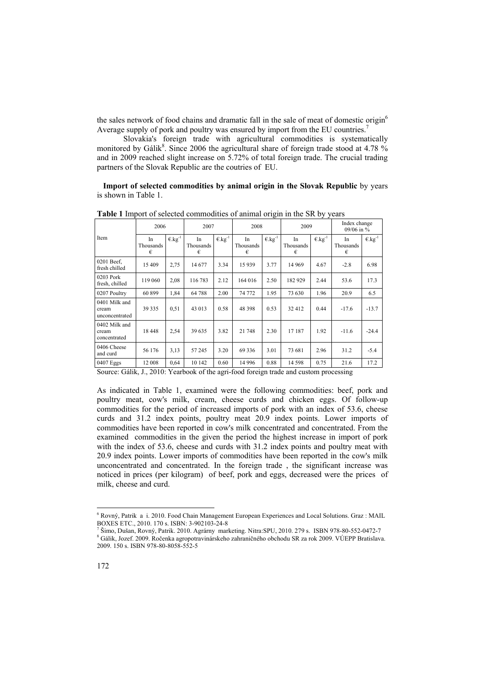the sales network of food chains and dramatic fall in the sale of meat of domestic origin<sup>6</sup> Average supply of pork and poultry was ensured by import from the EU countries.<sup>7</sup>

 Slovakia's foreign trade with agricultural commodities is systematically monitored by Gálik $8$ . Since 2006 the agricultural share of foreign trade stood at 4.78 % and in 2009 reached slight increase on 5.72% of total foreign trade. The crucial trading partners of the Slovak Republic are the coutries of EU.

 **Import of selected commodities by animal origin in the Slovak Republic** by years is shown in Table 1.

|                                          | 2006                 |                              | 2007                 |             | 2008                 |                              | 2009                 |                              | Index change<br>09/06 in $%$ |                             |
|------------------------------------------|----------------------|------------------------------|----------------------|-------------|----------------------|------------------------------|----------------------|------------------------------|------------------------------|-----------------------------|
| Item                                     | In<br>Thousands<br>€ | $\epsilon$ .kg <sup>-1</sup> | In<br>Thousands<br>€ | $E.kg^{-1}$ | In<br>Thousands<br>€ | $\epsilon$ .kg <sup>-1</sup> | In<br>Thousands<br>€ | $\epsilon$ .kg <sup>-1</sup> | In<br>Thousands<br>€         | $\epsilon$ kg <sup>-1</sup> |
| 0201 Beef,<br>fresh chilled              | 15 409               | 2,75                         | 14 677               | 3.34        | 15 9 39              | 3.77                         | 14 9 69              | 4.67                         | $-2.8$                       | 6.98                        |
| 0203 Pork<br>fresh, chilled              | 119 060              | 2,08                         | 116 783              | 2.12        | 164 016              | 2.50                         | 182929               | 2.44                         | 53.6                         | 17.3                        |
| 0207 Poultry                             | 60 899               | 1,84                         | 64 788               | 2.00        | 74 772               | 1.95                         | 73 630               | 1.96                         | 20.9                         | 6.5                         |
| 0401 Milk and<br>cream<br>unconcentrated | 39 335               | 0,51                         | 43 013               | 0.58        | 48 398               | 0.53                         | 32412                | 0.44                         | $-17.6$                      | $-13.7$                     |
| 0402 Milk and<br>cream<br>concentrated   | 18448                | 2,54                         | 39 635               | 3.82        | 21 748               | 2.30                         | 17 187               | 1.92                         | $-11.6$                      | $-24.4$                     |
| 0406 Cheese<br>and curd                  | 56 176               | 3,13                         | 57 245               | 3.20        | 69 3 36              | 3.01                         | 73 681               | 2.96                         | 31.2                         | $-5.4$                      |
| 0407 Eggs                                | 12 008               | 0,64                         | 10 142               | 0.60        | 14 9 96              | 0.88                         | 14 5 98              | 0.75                         | 21.6                         | 17.2                        |

**Table 1** Import of selected commodities of animal origin in the SR by years

Source: Gálik, J., 2010: Yearbook of the agri-food foreign trade and custom processing

As indicated in Table 1, examined were the following commodities: beef, pork and poultry meat, cow's milk, cream, cheese curds and chicken eggs. Of follow-up commodities for the period of increased imports of pork with an index of 53.6, cheese curds and 31.2 index points, poultry meat 20.9 index points. Lower imports of commodities have been reported in cow's milk concentrated and concentrated. From the examined commodities in the given the period the highest increase in import of pork with the index of 53.6, cheese and curds with 31.2 index points and poultry meat with 20.9 index points. Lower imports of commodities have been reported in the cow's milk unconcentrated and concentrated. In the foreign trade , the significant increase was noticed in prices (per kilogram) of beef, pork and eggs, decreased were the prices of milk, cheese and curd.

7 Šimo, Dušan, Rovný, Patrik. 2010. Agrárny marketing. Nitra:SPU, 2010. 279 s. ISBN 978-80-552-0472-7

 $\overline{a}$ 

<sup>6</sup> Rovný, Patrik a i. 2010. Food Chain Management European Experiences and Local Solutions. Graz : MAIL BOXES ETC., 2010. 170 s. ISBN: 3-902103-24-8

<sup>8</sup> Gálik, Jozef. 2009. Ročenka agropotravinárskeho zahraničného obchodu SR za rok 2009. VÚEPP Bratislava. 2009. 150 s. ISBN 978-80-8058-552-5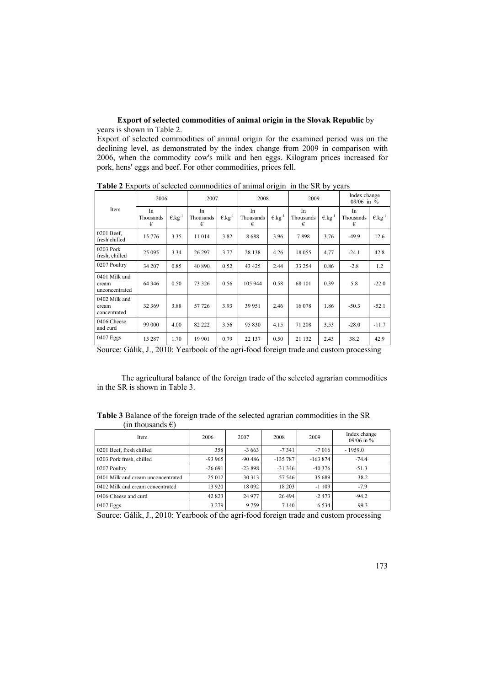# **Export of selected commodities of animal origin in the Slovak Republic** by years is shown in Table 2.

Export of selected commodities of animal origin for the examined period was on the declining level, as demonstrated by the index change from 2009 in comparison with 2006, when the commodity cow's milk and hen eggs. Kilogram prices increased for pork, hens' eggs and beef. For other commodities, prices fell.

|                                          | 2006                 |                              | 2007                 |                              | 2008                 |                              | 2009                 |                              | Index change<br>$09/06$ in % |                              |
|------------------------------------------|----------------------|------------------------------|----------------------|------------------------------|----------------------|------------------------------|----------------------|------------------------------|------------------------------|------------------------------|
| Item                                     | In<br>Thousands<br>€ | $\epsilon$ .kg <sup>-1</sup> | In<br>Thousands<br>€ | $\epsilon$ .kg <sup>-1</sup> | In<br>Thousands<br>€ | $\epsilon$ .kg <sup>-1</sup> | In<br>Thousands<br>€ | $\epsilon$ .kg <sup>-1</sup> | In<br>Thousands<br>€         | $\epsilon$ .kg <sup>-1</sup> |
| $0201$ Beef,<br>fresh chilled            | 15 776               | 3.35                         | 11 014               | 3.82                         | 8688                 | 3.96                         | 7898                 | 3.76                         | $-49.9$                      | 12.6                         |
| 0203 Pork<br>fresh, chilled              | 25 095               | 3.34                         | 26 297               | 3.77                         | 28 138               | 4.26                         | 18 055               | 4.77                         | $-24.1$                      | 42.8                         |
| 0207 Poultry                             | 34 207               | 0.85                         | 40 890               | 0.52                         | 43 4 25              | 2.44                         | 33 254               | 0.86                         | $-2.8$                       | 1.2                          |
| 0401 Milk and<br>cream<br>unconcentrated | 64 34 6              | 0.50                         | 73 3 26              | 0.56                         | 105 944              | 0.58                         | 68 101               | 0.39                         | 5.8                          | $-22.0$                      |
| 0402 Milk and<br>cream<br>concentrated   | 32 369               | 3.88                         | 57 726               | 3.93                         | 39 951               | 2.46                         | 16 078               | 1.86                         | $-50.3$                      | $-52.1$                      |
| 0406 Cheese<br>and curd                  | 99 000               | 4.00                         | 82 222               | 3.56                         | 95 830               | 4.15                         | 71 208               | 3.53                         | $-28.0$                      | $-11.7$                      |
| $0407$ Eggs                              | 15 287               | 1.70                         | 19 901               | 0.79                         | 22 137               | 0.50                         | 21 132               | 2.43                         | 38.2                         | 42.9                         |

**Table 2** Exports of selected commodities of animal origin in the SR by years

Source: Gálik, J., 2010: Yearbook of the agri-food foreign trade and custom processing

 The agricultural balance of the foreign trade of the selected agrarian commodities in the SR is shown in Table 3.

**Table 3** Balance of the foreign trade of the selected agrarian commodities in the SR (in thousands  $\epsilon$ )

| Item                               | 2006<br>2007 |           | 2008      | 2009      | Index change<br>09/06 in $%$ |  |
|------------------------------------|--------------|-----------|-----------|-----------|------------------------------|--|
| 0201 Beef, fresh chilled           | 358          | $-3663$   | $-7341$   | $-7016$   | $-1959.0$                    |  |
| 0203 Pork fresh, chilled           | $-93965$     | $-90,486$ | $-135787$ | $-163874$ | $-74.4$                      |  |
| 0207 Poultry                       | $-26691$     | $-23898$  | $-31346$  | $-40376$  | $-51.3$                      |  |
| 0401 Milk and cream unconcentrated | 25 012       | 30 31 3   | 57 546    | 35 689    | 38.2                         |  |
| 0402 Milk and cream concentrated   | 13 9 20      | 18 092    | 18 20 3   | $-1109$   | $-7.9$                       |  |
| 0406 Cheese and curd               | 42 823       | 24 977    | 26 4 94   | $-2473$   | $-94.2$                      |  |
| 0407 Eggs                          | 3 2 7 9      | 9759      | 7 1 4 0   | 6 5 3 4   | 99.3                         |  |

Source: Gálik, J., 2010: Yearbook of the agri-food foreign trade and custom processing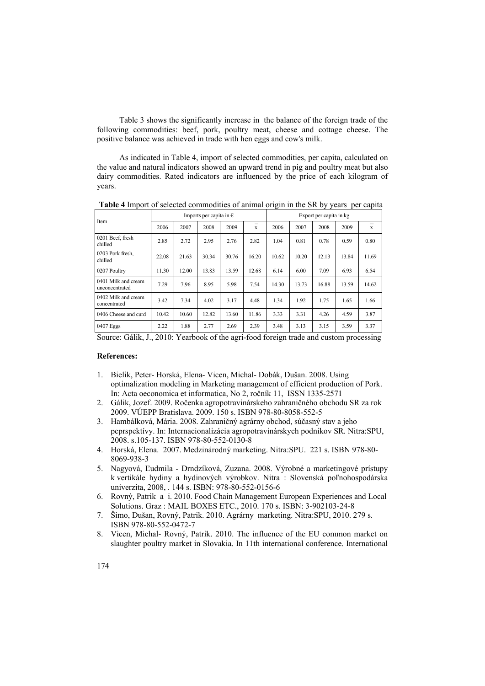Table 3 shows the significantly increase in the balance of the foreign trade of the following commodities: beef, pork, poultry meat, cheese and cottage cheese. The positive balance was achieved in trade with hen eggs and cow's milk.

 As indicated in Table 4, import of selected commodities, per capita, calculated on the value and natural indicators showed an upward trend in pig and poultry meat but also dairy commodities. Rated indicators are influenced by the price of each kilogram of years.

| Item                                  |       |       | Imports per capita in $\epsilon$ |       |       | Export per capita in kg |       |       |       |       |  |
|---------------------------------------|-------|-------|----------------------------------|-------|-------|-------------------------|-------|-------|-------|-------|--|
|                                       | 2006  | 2007  | 2008                             | 2009  | X     | 2006                    | 2007  | 2008  | 2009  | X     |  |
| 0201 Beef, fresh<br>chilled           | 2.85  | 2.72  | 2.95                             | 2.76  | 2.82  | 1.04                    | 0.81  | 0.78  | 0.59  | 0.80  |  |
| 0203 Pork fresh.<br>chilled           | 22.08 | 21.63 | 30.34                            | 30.76 | 16.20 | 10.62                   | 10.20 | 12.13 | 13.84 | 11.69 |  |
| 0207 Poultry                          | 11.30 | 12.00 | 13.83                            | 13.59 | 12.68 | 6.14                    | 6.00  | 7.09  | 6.93  | 6.54  |  |
| 0401 Milk and cream<br>unconcentrated | 7.29  | 7.96  | 8.95                             | 5.98  | 7.54  | 14.30                   | 13.73 | 16.88 | 13.59 | 14.62 |  |
| 0402 Milk and cream<br>concentrated   | 3.42  | 7.34  | 4.02                             | 3.17  | 4.48  | 1.34                    | 1.92  | 1.75  | 1.65  | 1.66  |  |
| 0406 Cheese and curd                  | 10.42 | 10.60 | 12.82                            | 13.60 | 11.86 | 3.33                    | 3.31  | 4.26  | 4.59  | 3.87  |  |
| 0407 Eggs                             | 2.22  | 1.88  | 2.77                             | 2.69  | 2.39  | 3.48                    | 3.13  | 3.15  | 3.59  | 3.37  |  |

**Table 4** Import of selected commodities of animal origin in the SR by years per capita

Source: Gálik, J., 2010: Yearbook of the agri-food foreign trade and custom processing

## **References:**

- 1. Bielik, Peter- Horská, Elena- Vicen, Michal- Dobák, Dušan. 2008. Using optimalization modeling in Marketing management of efficient production of Pork. In: Acta oeconomica et informatica, No 2, ročník 11, ISSN 1335-2571
- 2. Gálik, Jozef. 2009. Ročenka agropotravinárskeho zahraničného obchodu SR za rok 2009. VÚEPP Bratislava. 2009. 150 s. ISBN 978-80-8058-552-5
- 3. Hambálková, Mária. 2008. Zahraničný agrárny obchod, súčasný stav a jeho peprspektívy. In: Internacionalizácia agropotravinárskych podnikov SR. Nitra:SPU, 2008. s.105-137. ISBN 978-80-552-0130-8
- 4. Horská, Elena. 2007. Medzinárodný marketing. Nitra:SPU. 221 s. ISBN 978-80- 8069-938-3
- 5. Nagyová, Ľudmila Drndzíková, Zuzana. 2008. Výrobné a marketingové prístupy k vertikále hydiny a hydinových výrobkov. Nitra : Slovenská poľnohospodárska univerzita, 2008, . 144 s. ISBN: 978-80-552-0156-6
- 6. Rovný, Patrik a i. 2010. Food Chain Management European Experiences and Local Solutions. Graz : MAIL BOXES ETC., 2010. 170 s. ISBN: 3-902103-24-8
- 7. Šimo, Dušan, Rovný, Patrik. 2010. Agrárny marketing. Nitra:SPU, 2010. 279 s. ISBN 978-80-552-0472-7
- 8. Vicen, Michal- Rovný, Patrik. 2010. The influence of the EU common market on slaughter poultry market in Slovakia. In 11th international conference. International